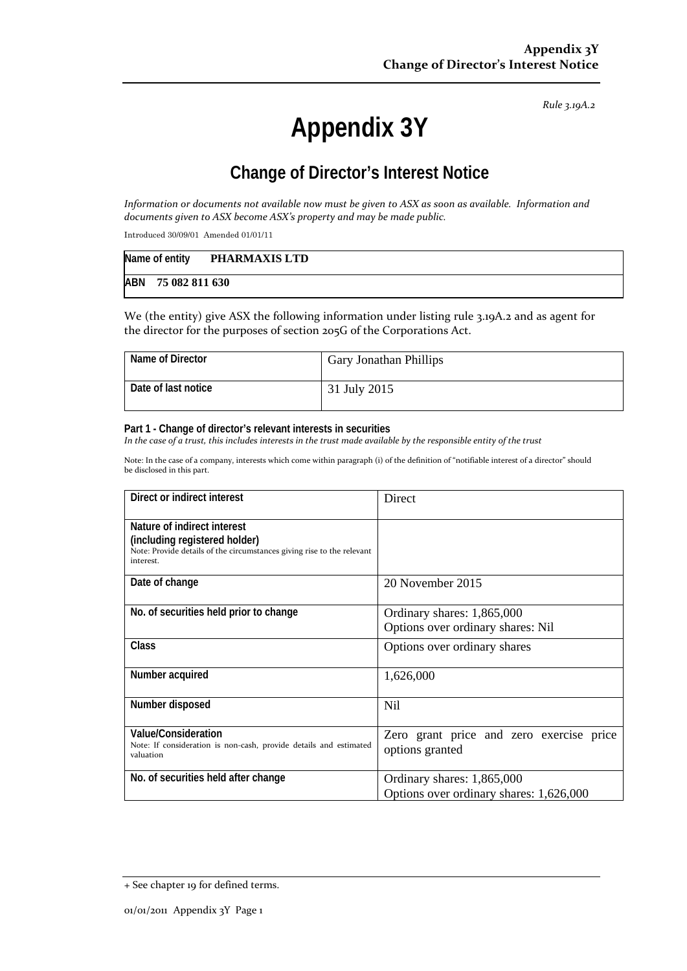*Rule 3.19A.2*

# **Appendix 3Y**

# **Change of Director's Interest Notice**

Information or documents not available now must be given to ASX as soon as available. Information and *documents given to ASX become ASX's property and may be made public.*

Introduced 30/09/01 Amended 01/01/11

|                    | Name of entity PHARMAXIS LTD |
|--------------------|------------------------------|
| ABN 75 082 811 630 |                              |

We (the entity) give ASX the following information under listing rule 3.19A.2 and as agent for the director for the purposes of section 205G of the Corporations Act.

| Name of Director    | <b>Gary Jonathan Phillips</b> |
|---------------------|-------------------------------|
| Date of last notice | 31 July 2015                  |

#### **Part 1 - Change of director's relevant interests in securities**

In the case of a trust, this includes interests in the trust made available by the responsible entity of the trust

Note: In the case of a company, interests which come within paragraph (i) of the definition of "notifiable interest of a director" should be disclosed in this part.

| Direct or indirect interest                                                                                                                         | Direct                                                                |  |
|-----------------------------------------------------------------------------------------------------------------------------------------------------|-----------------------------------------------------------------------|--|
| Nature of indirect interest<br>(including registered holder)<br>Note: Provide details of the circumstances giving rise to the relevant<br>interest. |                                                                       |  |
| Date of change                                                                                                                                      | 20 November 2015                                                      |  |
| No. of securities held prior to change                                                                                                              | Ordinary shares: 1,865,000<br>Options over ordinary shares: Nil       |  |
| Class                                                                                                                                               | Options over ordinary shares                                          |  |
| Number acquired                                                                                                                                     | 1,626,000                                                             |  |
| Number disposed                                                                                                                                     | <b>Nil</b>                                                            |  |
| Value/Consideration<br>Note: If consideration is non-cash, provide details and estimated<br>valuation                                               | Zero grant price and zero exercise price<br>options granted           |  |
| No. of securities held after change                                                                                                                 | Ordinary shares: 1,865,000<br>Options over ordinary shares: 1,626,000 |  |

<sup>+</sup> See chapter 19 for defined terms.